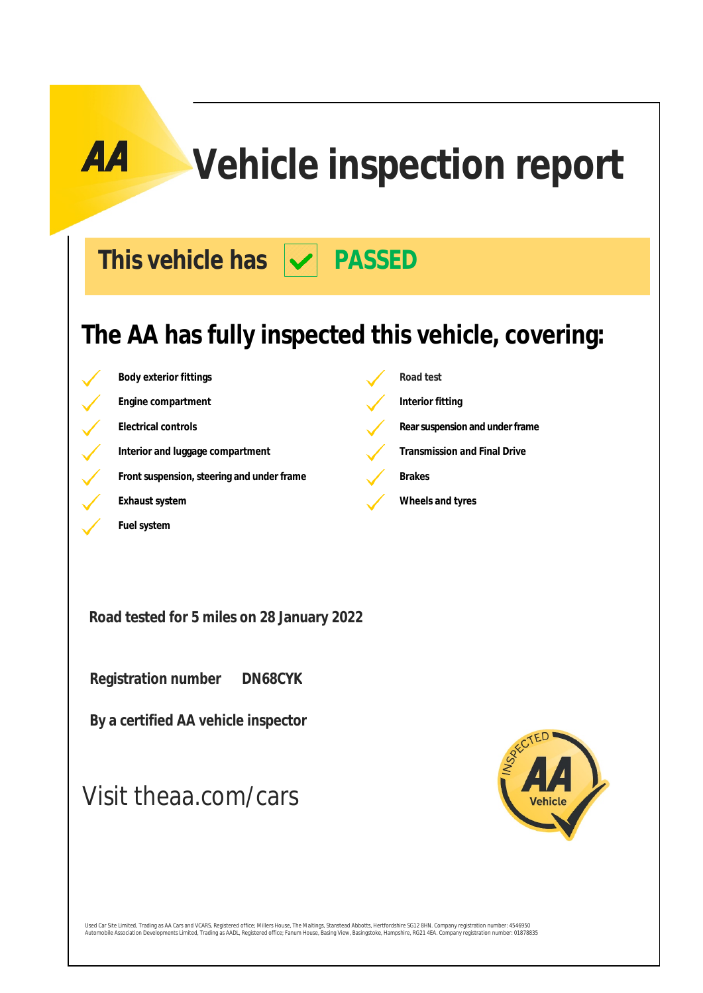# **Vehicle inspection report**

This vehicle has  $|\mathbf{v}|$  PASSED

### **The AA has fully inspected this vehicle, covering:**

**Body exterior fittings Road test Engine compartment Interior fitting Electrical controls Rearsuspension** and under frame Interior and luggage compartment **Transmission and Final Drive Front suspension, steering and under frame Brakes Exhaust system Exhaust system Wheels and tyres** 

**Road tested for 5 miles on 28 January 2022**

 **Registration number DN68CYK**

**Fuel system**

 **By a certified AA vehicle inspector**

### Visit theaa.com/cars



Used Car Site Limited, Trading as AA Cars and VCARS, Registered office; Millers House, The Maltings, Stanstead Abbotts, Hertfordshire SG12 8HN. Company registration number: 4546950<br>Automobile Association Developments Limit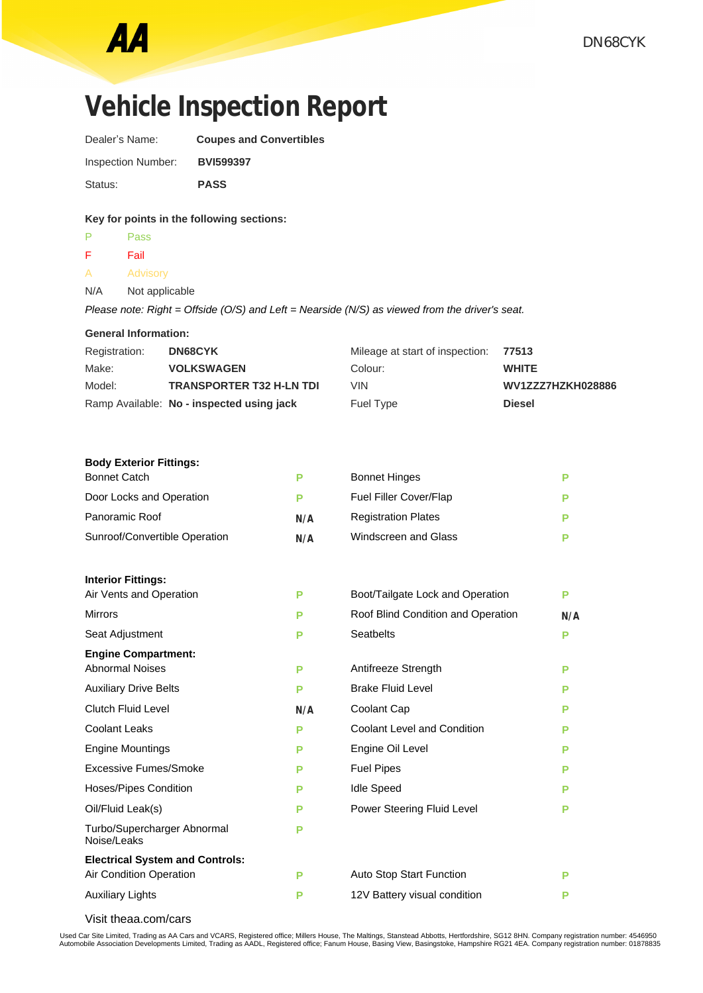## **Vehicle Inspection Report**

Dealer's Name: **Coupes and Convertibles** Inspection Number: **BVI599397** Status: **PASS**

### **Key for points in the following sections:**

- P Pass F Fail
- A Advisory
- N/A Not applicable

*Please note: Right = Offside (O/S) and Left = Nearside (N/S) as viewed from the driver's seat.*

| <b>General Information:</b> |  |
|-----------------------------|--|
|-----------------------------|--|

| Registration: | <b>DN68CYK</b>                            | Mileage at start of inspection: 77513 |                   |
|---------------|-------------------------------------------|---------------------------------------|-------------------|
| Make:         | <b>VOLKSWAGEN</b>                         | Colour:                               | <b>WHITE</b>      |
| Model:        | <b>TRANSPORTER T32 H-LN TDI</b>           | VIN                                   | WV1ZZZ7HZKH028886 |
|               | Ramp Available: No - inspected using jack | Fuel Type                             | <b>Diesel</b>     |

#### **Body Exterior Fittings:**

| <b>Bonnet Catch</b>                        | P   | <b>Bonnet Hinges</b>               | P   |
|--------------------------------------------|-----|------------------------------------|-----|
| Door Locks and Operation                   | P   | <b>Fuel Filler Cover/Flap</b>      | P   |
| Panoramic Roof                             | N/A | <b>Registration Plates</b>         | Р   |
| Sunroof/Convertible Operation              | N/A | <b>Windscreen and Glass</b>        | P   |
| <b>Interior Fittings:</b>                  |     |                                    |     |
| Air Vents and Operation                    | P   | Boot/Tailgate Lock and Operation   | P   |
| <b>Mirrors</b>                             | P   | Roof Blind Condition and Operation | N/A |
| Seat Adjustment                            | P   | <b>Seatbelts</b>                   | P   |
| <b>Engine Compartment:</b>                 |     |                                    |     |
| <b>Abnormal Noises</b>                     | P   | Antifreeze Strength                | P   |
| <b>Auxiliary Drive Belts</b>               | P   | <b>Brake Fluid Level</b>           | Р   |
| <b>Clutch Fluid Level</b>                  | N/A | Coolant Cap                        | Р   |
| <b>Coolant Leaks</b>                       | P   | <b>Coolant Level and Condition</b> | Р   |
| <b>Engine Mountings</b>                    | P   | Engine Oil Level                   | Р   |
| Excessive Fumes/Smoke                      | P   | <b>Fuel Pipes</b>                  | P   |
| <b>Hoses/Pipes Condition</b>               | P   | <b>Idle Speed</b>                  | P   |
| Oil/Fluid Leak(s)                          | P   | Power Steering Fluid Level         | P   |
| Turbo/Supercharger Abnormal<br>Noise/Leaks | P   |                                    |     |
| <b>Electrical System and Controls:</b>     |     |                                    |     |
| Air Condition Operation                    | P   | Auto Stop Start Function           | Р   |
| <b>Auxiliary Lights</b>                    | P   | 12V Battery visual condition       | Р   |
|                                            |     |                                    |     |

Visit theaa.com/cars

Used Car Site Limited, Trading as AA Cars and VCARS, Registered office; Millers House, The Maltings, Stanstead Abbotts, Hertfordshire, SG12 8HN. Company registration number: 4546950<br>Automobile Association Developments Limi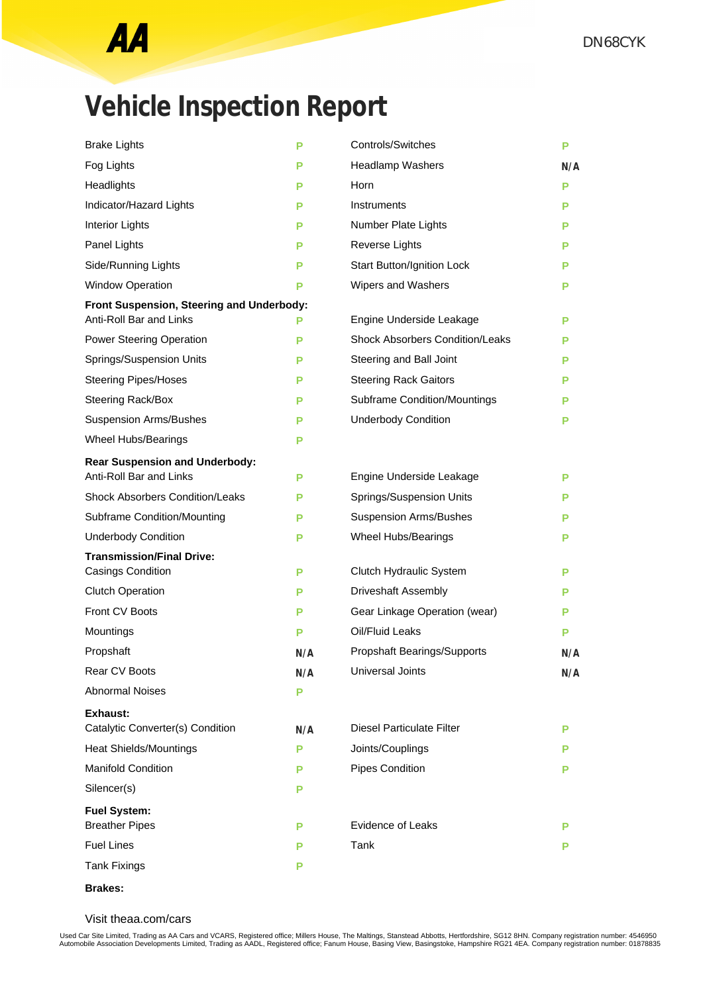

## **Vehicle Inspection Report**

| <b>Brake Lights</b>                                                         | P   | Controls/Switches                      | Р   |
|-----------------------------------------------------------------------------|-----|----------------------------------------|-----|
| Fog Lights                                                                  | P   | <b>Headlamp Washers</b>                | N/A |
| Headlights                                                                  | Р   | Horn                                   | Р   |
| Indicator/Hazard Lights                                                     | Р   | Instruments                            | Р   |
| Interior Lights                                                             | P   | Number Plate Lights                    | Р   |
| Panel Lights                                                                | P   | Reverse Lights                         | Р   |
| Side/Running Lights                                                         | P   | <b>Start Button/Ignition Lock</b>      | Р   |
| <b>Window Operation</b>                                                     | P   | Wipers and Washers                     | Р   |
| Front Suspension, Steering and Underbody:<br><b>Anti-Roll Bar and Links</b> | Р   | Engine Underside Leakage               | Р   |
| <b>Power Steering Operation</b>                                             | Р   | <b>Shock Absorbers Condition/Leaks</b> | P   |
| Springs/Suspension Units                                                    | Р   | Steering and Ball Joint                | Р   |
| <b>Steering Pipes/Hoses</b>                                                 | P   | <b>Steering Rack Gaitors</b>           | Р   |
| Steering Rack/Box                                                           | P   | <b>Subframe Condition/Mountings</b>    | Р   |
| <b>Suspension Arms/Bushes</b>                                               | P   | <b>Underbody Condition</b>             | Р   |
| Wheel Hubs/Bearings                                                         | P   |                                        |     |
| <b>Rear Suspension and Underbody:</b>                                       |     |                                        |     |
| Anti-Roll Bar and Links                                                     | Р   | Engine Underside Leakage               | Р   |
| <b>Shock Absorbers Condition/Leaks</b>                                      | Р   | Springs/Suspension Units               | Р   |
| Subframe Condition/Mounting                                                 | P   | <b>Suspension Arms/Bushes</b>          | Р   |
| <b>Underbody Condition</b>                                                  | Р   | Wheel Hubs/Bearings                    | Р   |
| <b>Transmission/Final Drive:</b>                                            |     |                                        |     |
| Casings Condition                                                           | P   | Clutch Hydraulic System                | Р   |
| <b>Clutch Operation</b>                                                     | P   | Driveshaft Assembly                    | Р   |
| Front CV Boots                                                              | Р   | Gear Linkage Operation (wear)          | Р   |
| Mountings                                                                   | P   | Oil/Fluid Leaks                        | Р   |
| Propshaft                                                                   | N/A | Propshaft Bearings/Supports            | N/A |
| <b>Rear CV Boots</b>                                                        | N/A | <b>Universal Joints</b>                | N/A |
| <b>Abnormal Noises</b>                                                      | P   |                                        |     |
| <b>Exhaust:</b><br>Catalytic Converter(s) Condition                         | N/A | <b>Diesel Particulate Filter</b>       | P   |
| Heat Shields/Mountings                                                      | P   | Joints/Couplings                       | P   |
| <b>Manifold Condition</b>                                                   | P   | Pipes Condition                        | Р   |
| Silencer(s)                                                                 | P   |                                        |     |
| <b>Fuel System:</b>                                                         |     |                                        |     |
| <b>Breather Pipes</b>                                                       | P   | <b>Evidence of Leaks</b>               | Р   |
| <b>Fuel Lines</b>                                                           | P   | Tank                                   | Р   |
| <b>Tank Fixings</b>                                                         | P   |                                        |     |

**Brakes:**

Visit theaa.com/cars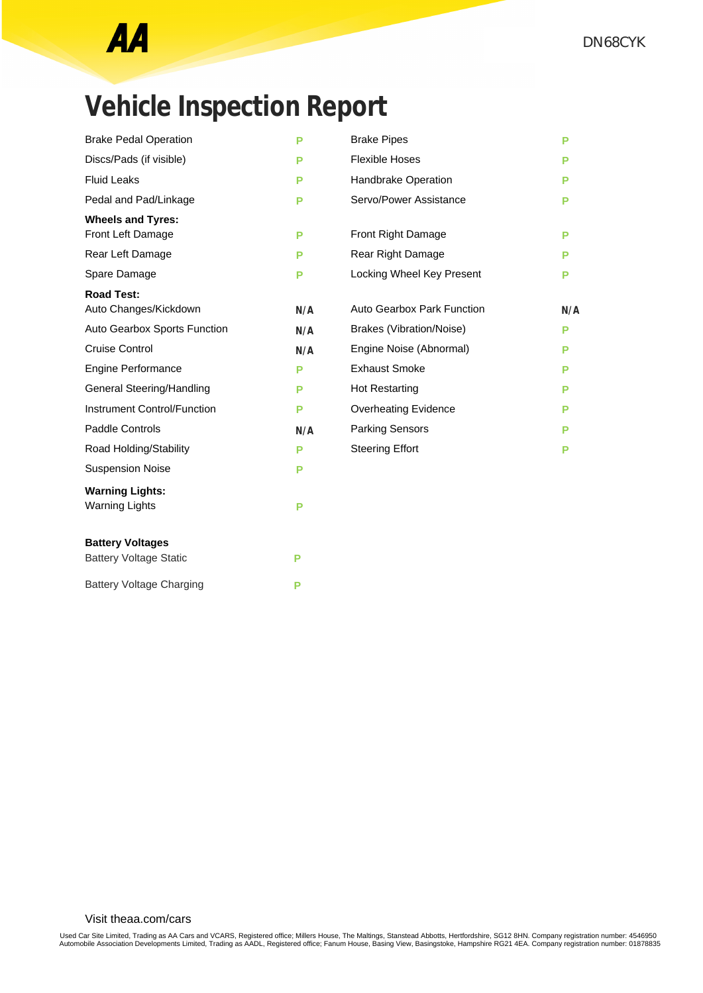## **Vehicle Inspection Report**

| <b>Brake Pedal Operation</b>       | P   | <b>Brake Pipes</b>                | P   |
|------------------------------------|-----|-----------------------------------|-----|
| Discs/Pads (if visible)            | Р   | <b>Flexible Hoses</b>             | Р   |
| <b>Fluid Leaks</b>                 | P   | Handbrake Operation               | Р   |
| Pedal and Pad/Linkage              | Р   | Servo/Power Assistance            | Р   |
| <b>Wheels and Tyres:</b>           |     |                                   |     |
| Front Left Damage                  | P   | Front Right Damage                | Р   |
| Rear Left Damage                   | P   | Rear Right Damage                 | Р   |
| Spare Damage                       | P   | Locking Wheel Key Present         | Р   |
| <b>Road Test:</b>                  |     |                                   |     |
| Auto Changes/Kickdown              | N/A | <b>Auto Gearbox Park Function</b> | N/A |
| Auto Gearbox Sports Function       | N/A | <b>Brakes (Vibration/Noise)</b>   | P   |
| Cruise Control                     | N/A | Engine Noise (Abnormal)           | P   |
| <b>Engine Performance</b>          | P   | <b>Exhaust Smoke</b>              | Р   |
| General Steering/Handling          | P   | <b>Hot Restarting</b>             | Р   |
| <b>Instrument Control/Function</b> | P   | <b>Overheating Evidence</b>       | Р   |
| <b>Paddle Controls</b>             | N/A | <b>Parking Sensors</b>            | Р   |
| Road Holding/Stability             | P   | <b>Steering Effort</b>            | Р   |
| <b>Suspension Noise</b>            | P   |                                   |     |
| <b>Warning Lights:</b>             |     |                                   |     |
| <b>Warning Lights</b>              | P   |                                   |     |
| <b>Battery Voltages</b>            |     |                                   |     |
| <b>Battery Voltage Static</b>      | P   |                                   |     |
| <b>Battery Voltage Charging</b>    | P   |                                   |     |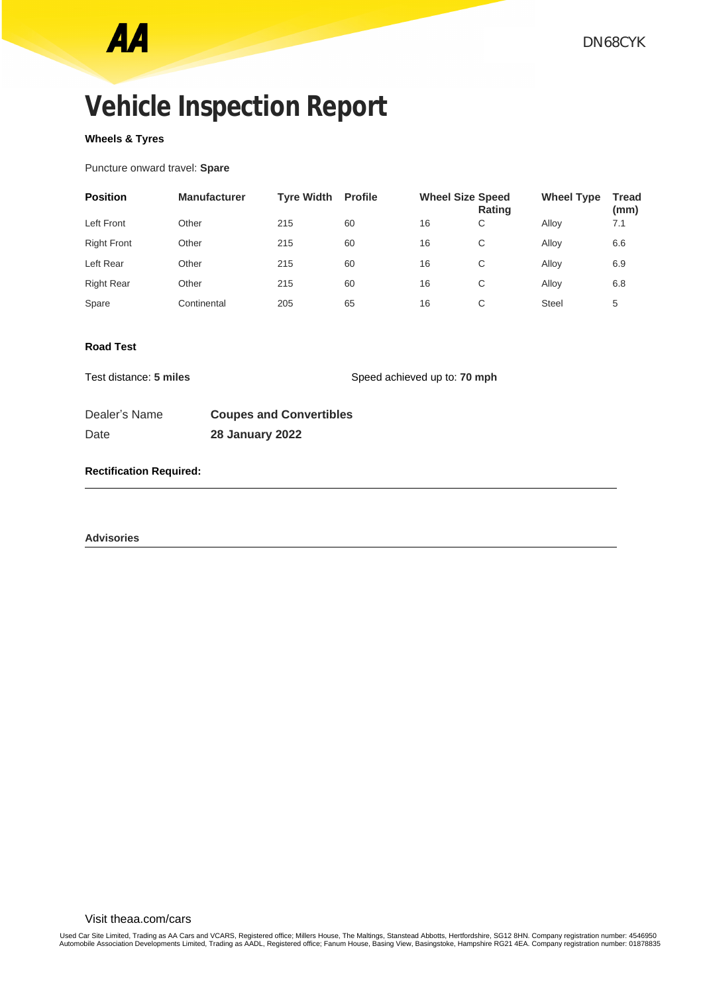## **Vehicle Inspection Report**

### **Wheels & Tyres**

Puncture onward travel: **Spare**

| <b>Position</b>    | <b>Manufacturer</b> | <b>Tyre Width</b> | <b>Profile</b> | <b>Wheel Size Speed</b> | <b>Rating</b> | <b>Wheel Type</b> | <b>Tread</b><br>(mm) |
|--------------------|---------------------|-------------------|----------------|-------------------------|---------------|-------------------|----------------------|
| <b>Left Front</b>  | Other               | 215               | 60             | 16                      | C             | Allov             | 7.1                  |
| <b>Right Front</b> | Other               | 215               | 60             | 16                      | C             | Allov             | 6.6                  |
| Left Rear          | Other               | 215               | 60             | 16                      | C             | Allov             | 6.9                  |
| <b>Right Rear</b>  | Other               | 215               | 60             | 16                      | C             | Alloy             | 6.8                  |
| Spare              | Continental         | 205               | 65             | 16                      | C             | <b>Steel</b>      | 5                    |

### **Road Test**

Test distance: **5 miles** Speed achieved up to: **70 mph** 

| Dealer's Name | <b>Coupes and Convertibles</b> |
|---------------|--------------------------------|
| Date          | <b>28 January 2022</b>         |

### **Rectification Required:**

**Advisories**